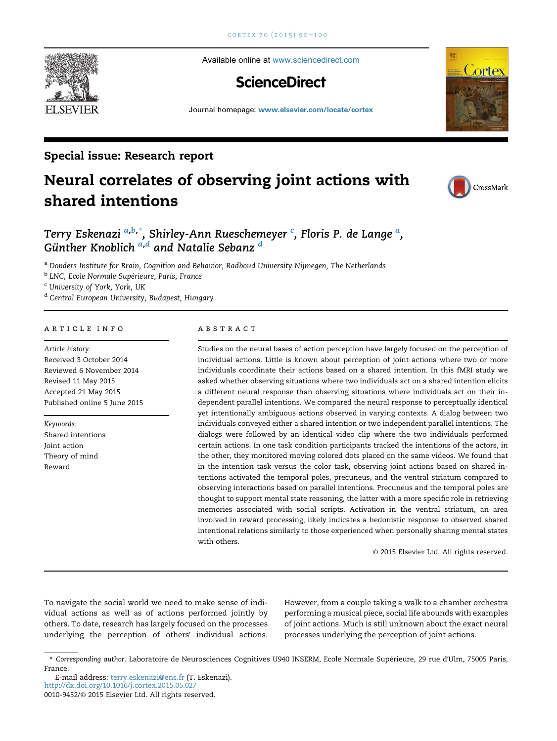**FI SEVIEI** 

Available online at [www.sciencedirect.com](www.sciencedirect.com/science/journal/00109452)

# **ScienceDirect**

Journal homepage: <www.elsevier.com/locate/cortex>



# Neural correlates of observing joint actions with shared intentions



Corte

# Terry Eskenazi <sup>a,b,</sup>\*, Shirley-Ann Rueschemeyer <sup>c</sup>, Floris P. de Lange <sup>a</sup>, Günther Knoblich  $a,d$  and Natalie Sebanz  $d$

<sup>a</sup> Donders Institute for Brain, Cognition and Behavior, Radboud University Nijmegen, The Netherlands

<sup>b</sup> LNC, Ecole Normale Supérieure, Paris, France

<sup>c</sup> University of York, York, UK

<sup>d</sup> Central European University, Budapest, Hungary

# article info

Article history: Received 3 October 2014 Reviewed 6 November 2014 Revised 11 May 2015 Accepted 21 May 2015 Published online 5 June 2015

Keywords: Shared intentions Joint action Theory of mind Reward

# abstract

Studies on the neural bases of action perception have largely focused on the perception of individual actions. Little is known about perception of joint actions where two or more individuals coordinate their actions based on a shared intention. In this fMRI study we asked whether observing situations where two individuals act on a shared intention elicits a different neural response than observing situations where individuals act on their independent parallel intentions. We compared the neural response to perceptually identical yet intentionally ambiguous actions observed in varying contexts. A dialog between two individuals conveyed either a shared intention or two independent parallel intentions. The dialogs were followed by an identical video clip where the two individuals performed certain actions. In one task condition participants tracked the intentions of the actors, in the other, they monitored moving colored dots placed on the same videos. We found that in the intention task versus the color task, observing joint actions based on shared intentions activated the temporal poles, precuneus, and the ventral striatum compared to observing interactions based on parallel intentions. Precuneus and the temporal poles are thought to support mental state reasoning, the latter with a more specific role in retrieving memories associated with social scripts. Activation in the ventral striatum, an area involved in reward processing, likely indicates a hedonistic response to observed shared intentional relations similarly to those experienced when personally sharing mental states with others.

© 2015 Elsevier Ltd. All rights reserved.

To navigate the social world we need to make sense of individual actions as well as of actions performed jointly by others. To date, research has largely focused on the processes underlying the perception of others' individual actions.

However, from a couple taking a walk to a chamber orchestra performing a musical piece, social life abounds with examples of joint actions. Much is still unknown about the exact neural processes underlying the perception of joint actions.

E-mail address: [terry.eskenazi@ens.fr](mailto:terry.eskenazi@ens.fr) (T. Eskenazi). <http://dx.doi.org/10.1016/j.cortex.2015.05.027>

<sup>\*</sup> Corresponding author. Laboratoire de Neurosciences Cognitives U940 INSERM, Ecole Normale Superieure, 29 rue d 'Ulm, 75005 Paris, France.

<sup>0010-9452/</sup>© 2015 Elsevier Ltd. All rights reserved.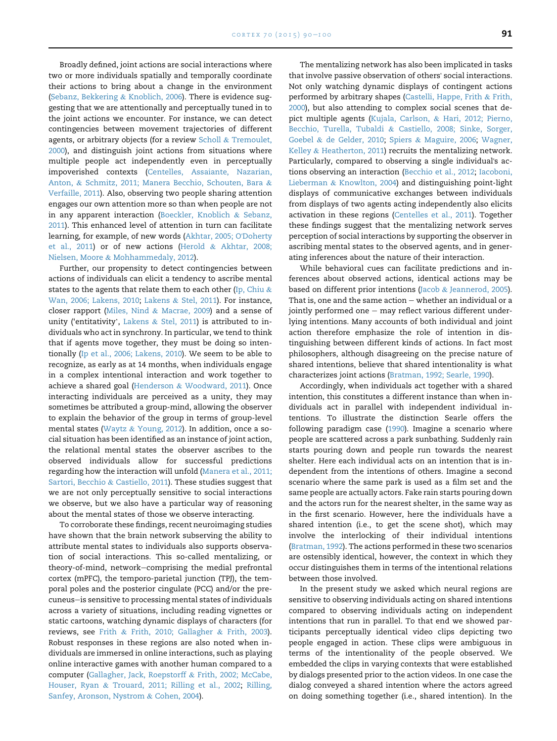Broadly defined, joint actions are social interactions where two or more individuals spatially and temporally coordinate their actions to bring about a change in the environment [\(Sebanz, Bekkering](#page-10-0) & [Knoblich, 2006\)](#page-10-0). There is evidence suggesting that we are attentionally and perceptually tuned in to the joint actions we encounter. For instance, we can detect contingencies between movement trajectories of different agents, or arbitrary objects (for a review [Scholl](#page-10-0) & [Tremoulet,](#page-10-0) [2000](#page-10-0)), and distinguish joint actions from situations where multiple people act independently even in perceptually impoverished contexts ([Centelles, Assaiante, Nazarian,](#page-8-0) [Anton,](#page-8-0) & [Schmitz, 2011; Manera Becchio, Schouten, Bara](#page-8-0) & [Verfaille, 2011](#page-8-0)). Also, observing two people sharing attention engages our own attention more so than when people are not in any apparent interaction ([Boeckler, Knoblich](#page-8-0) & [Sebanz,](#page-8-0) [2011](#page-8-0)). This enhanced level of attention in turn can facilitate learning, for example, of new words [\(Akhtar, 2005; O](#page-8-0)'Doherty [et al., 2011\)](#page-8-0) or of new actions [\(Herold](#page-9-0) & [Akhtar, 2008;](#page-9-0) [Nielsen, Moore](#page-9-0) & [Mohhammedaly, 2012\)](#page-9-0).

Further, our propensity to detect contingencies between actions of individuals can elicit a tendency to ascribe mental states to the agents that relate them to each other [\(Ip, Chiu](#page-9-0)  $\&$ [Wan, 2006; Lakens, 2010;](#page-9-0) [Lakens](#page-9-0) & [Stel, 2011\)](#page-9-0). For instance, closer rapport ([Miles, Nind](#page-9-0) & [Macrae, 2009\)](#page-9-0) and a sense of unity ('entitativity', [Lakens](#page-9-0) & [Stel, 2011](#page-9-0)) is attributed to individuals who act in synchrony. In particular, we tend to think that if agents move together, they must be doing so intentionally ([Ip et al., 2006; Lakens, 2010\)](#page-9-0). We seem to be able to recognize, as early as at 14 months, when individuals engage in a complex intentional interaction and work together to achieve a shared goal [\(Henderson](#page-9-0) & [Woodward, 2011](#page-9-0)). Once interacting individuals are perceived as a unity, they may sometimes be attributed a group-mind, allowing the observer to explain the behavior of the group in terms of group-level mental states ([Waytz](#page-10-0) & [Young, 2012\)](#page-10-0). In addition, once a social situation has been identified as an instance of joint action, the relational mental states the observer ascribes to the observed individuals allow for successful predictions regarding how the interaction will unfold ([Manera et al., 2011;](#page-9-0) [Sartori, Becchio](#page-9-0) & [Castiello, 2011\)](#page-9-0). These studies suggest that we are not only perceptually sensitive to social interactions we observe, but we also have a particular way of reasoning about the mental states of those we observe interacting.

To corroborate these findings, recent neuroimaging studies have shown that the brain network subserving the ability to attribute mental states to individuals also supports observation of social interactions. This so-called mentalizing, or theory-of-mind, network-comprising the medial prefrontal cortex (mPFC), the temporo-parietal junction (TPJ), the temporal poles and the posterior cingulate (PCC) and/or the precuneus-is sensitive to processing mental states of individuals across a variety of situations, including reading vignettes or static cartoons, watching dynamic displays of characters (for reviews, see [Frith](#page-9-0) & [Frith, 2010; Gallagher](#page-9-0) & [Frith, 2003](#page-9-0)). Robust responses in these regions are also noted when individuals are immersed in online interactions, such as playing online interactive games with another human compared to a computer [\(Gallagher, Jack, Roepstorff](#page-9-0) & [Frith, 2002; McCabe,](#page-9-0) [Houser, Ryan](#page-9-0) & [Trouard, 2011; Rilling et al., 2002](#page-9-0); [Rilling,](#page-9-0) [Sanfey, Aronson, Nystrom](#page-9-0) & [Cohen, 2004](#page-9-0)).

The mentalizing network has also been implicated in tasks that involve passive observation of others' social interactions. Not only watching dynamic displays of contingent actions performed by arbitrary shapes ([Castelli, Happe, Frith](#page-8-0) & [Frith,](#page-8-0) [2000](#page-8-0)), but also attending to complex social scenes that depict multiple agents ([Kujala, Carlson,](#page-9-0) & [Hari, 2012; Pierno,](#page-9-0) [Becchio, Turella, Tubaldi](#page-9-0) & [Castiello, 2008; Sinke, Sorger,](#page-9-0) [Goebel](#page-9-0) & [de Gelder, 2010;](#page-9-0) [Spiers](#page-10-0) & [Maguire, 2006](#page-10-0); [Wagner,](#page-10-0) [Kelley](#page-10-0)  $&$  [Heatherton, 2011\)](#page-10-0) recruits the mentalizing network. Particularly, compared to observing a single individual's actions observing an interaction ([Becchio et al., 2012;](#page-8-0) [Iacoboni,](#page-9-0) [Lieberman](#page-9-0) & [Knowlton, 2004](#page-9-0)) and distinguishing point-light displays of communicative exchanges between individuals from displays of two agents acting independently also elicits activation in these regions ([Centelles et al., 2011\)](#page-8-0). Together these findings suggest that the mentalizing network serves perception of social interactions by supporting the observer in ascribing mental states to the observed agents, and in generating inferences about the nature of their interaction.

While behavioral cues can facilitate predictions and inferences about observed actions, identical actions may be based on different prior intentions ([Jacob](#page-9-0) & [Jeannerod, 2005](#page-9-0)). That is, one and the same action  $-$  whether an individual or a jointly performed one  $-$  may reflect various different underlying intentions. Many accounts of both individual and joint action therefore emphasize the role of intention in distinguishing between different kinds of actions. In fact most philosophers, although disagreeing on the precise nature of shared intentions, believe that shared intentionality is what characterizes joint actions ([Bratman, 1992; Searle, 1990\)](#page-8-0).

Accordingly, when individuals act together with a shared intention, this constitutes a different instance than when individuals act in parallel with independent individual intentions. To illustrate the distinction Searle offers the following paradigm case [\(1990\)](#page-10-0). Imagine a scenario where people are scattered across a park sunbathing. Suddenly rain starts pouring down and people run towards the nearest shelter. Here each individual acts on an intention that is independent from the intentions of others. Imagine a second scenario where the same park is used as a film set and the same people are actually actors. Fake rain starts pouring down and the actors run for the nearest shelter, in the same way as in the first scenario. However, here the individuals have a shared intention (i.e., to get the scene shot), which may involve the interlocking of their individual intentions [\(Bratman, 1992\)](#page-8-0). The actions performed in these two scenarios are ostensibly identical, however, the context in which they occur distinguishes them in terms of the intentional relations between those involved.

In the present study we asked which neural regions are sensitive to observing individuals acting on shared intentions compared to observing individuals acting on independent intentions that run in parallel. To that end we showed participants perceptually identical video clips depicting two people engaged in action. These clips were ambiguous in terms of the intentionality of the people observed. We embedded the clips in varying contexts that were established by dialogs presented prior to the action videos. In one case the dialog conveyed a shared intention where the actors agreed on doing something together (i.e., shared intention). In the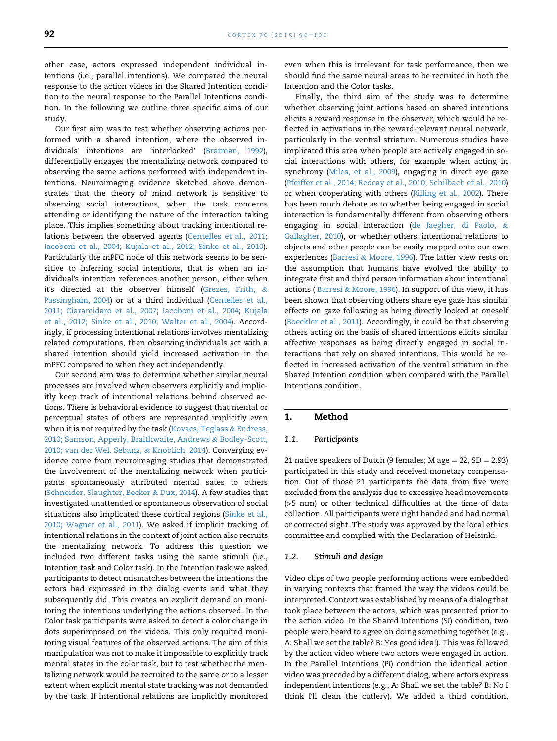other case, actors expressed independent individual intentions (i.e., parallel intentions). We compared the neural response to the action videos in the Shared Intention condition to the neural response to the Parallel Intentions condition. In the following we outline three specific aims of our study.

Our first aim was to test whether observing actions performed with a shared intention, where the observed in-dividuals' intentions are 'interlocked' [\(Bratman, 1992\)](#page-8-0), differentially engages the mentalizing network compared to observing the same actions performed with independent intentions. Neuroimaging evidence sketched above demonstrates that the theory of mind network is sensitive to observing social interactions, when the task concerns attending or identifying the nature of the interaction taking place. This implies something about tracking intentional relations between the observed agents ([Centelles et al., 2011](#page-8-0); [Iacoboni et al., 2004](#page-9-0); [Kujala et al., 2012; Sinke et al., 2010\)](#page-9-0). Particularly the mPFC node of this network seems to be sensitive to inferring social intentions, that is when an individual's intention references another person, either when it's directed at the observer himself [\(Grezes, Frith,](#page-9-0) & [Passingham, 2004\)](#page-9-0) or at a third individual [\(Centelles et al.,](#page-8-0) [2011; Ciaramidaro et al., 2007;](#page-8-0) [Iacoboni et al., 2004](#page-9-0); [Kujala](#page-9-0) [et al., 2012; Sinke et al., 2010; Walter et al., 2004](#page-9-0)). Accordingly, if processing intentional relations involves mentalizing related computations, then observing individuals act with a shared intention should yield increased activation in the mPFC compared to when they act independently.

Our second aim was to determine whether similar neural processes are involved when observers explicitly and implicitly keep track of intentional relations behind observed actions. There is behavioral evidence to suggest that mental or perceptual states of others are represented implicitly even when it is not required by the task [\(Kovacs, Teglass](#page-9-0)  $&$  [Endress,](#page-9-0) [2010; Samson, Apperly, Braithwaite, Andrews](#page-9-0) & [Bodley-Scott,](#page-9-0) [2010; van der Wel, Sebanz,](#page-9-0) & [Knoblich, 2014](#page-9-0)). Converging evidence come from neuroimaging studies that demonstrated the involvement of the mentalizing network when participants spontaneously attributed mental sates to others ([Schneider, Slaughter, Becker](#page-10-0) & [Dux, 2014](#page-10-0)). A few studies that investigated unattended or spontaneous observation of social situations also implicated these cortical regions [\(Sinke et al.,](#page-10-0) [2010; Wagner et al., 2011\)](#page-10-0). We asked if implicit tracking of intentional relations in the context of joint action also recruits the mentalizing network. To address this question we included two different tasks using the same stimuli (i.e., Intention task and Color task). In the Intention task we asked participants to detect mismatches between the intentions the actors had expressed in the dialog events and what they subsequently did. This creates an explicit demand on monitoring the intentions underlying the actions observed. In the Color task participants were asked to detect a color change in dots superimposed on the videos. This only required monitoring visual features of the observed actions. The aim of this manipulation was not to make it impossible to explicitly track mental states in the color task, but to test whether the mentalizing network would be recruited to the same or to a lesser extent when explicit mental state tracking was not demanded by the task. If intentional relations are implicitly monitored

even when this is irrelevant for task performance, then we should find the same neural areas to be recruited in both the Intention and the Color tasks.

Finally, the third aim of the study was to determine whether observing joint actions based on shared intentions elicits a reward response in the observer, which would be reflected in activations in the reward-relevant neural network, particularly in the ventral striatum. Numerous studies have implicated this area when people are actively engaged in social interactions with others, for example when acting in synchrony ([Miles, et al., 2009\)](#page-9-0), engaging in direct eye gaze ([Pfeiffer et al., 2014; Redcay et al., 2010; Schilbach et al., 2010\)](#page-9-0) or when cooperating with others ([Rilling et al., 2002\)](#page-9-0). There has been much debate as to whether being engaged in social interaction is fundamentally different from observing others engaging in social interaction ([de Jaegher, di Paolo,](#page-8-0) & [Gallagher, 2010\)](#page-8-0), or whether others' intentional relations to objects and other people can be easily mapped onto our own experiences [\(Barresi](#page-8-0) & [Moore, 1996\)](#page-8-0). The latter view rests on the assumption that humans have evolved the ability to integrate first and third person information about intentional actions ( [Barresi](#page-8-0) & [Moore, 1996](#page-8-0)). In support of this view, it has been shown that observing others share eye gaze has similar effects on gaze following as being directly looked at oneself ([Boeckler et al., 2011](#page-8-0)). Accordingly, it could be that observing others acting on the basis of shared intentions elicits similar affective responses as being directly engaged in social interactions that rely on shared intentions. This would be reflected in increased activation of the ventral striatum in the Shared Intention condition when compared with the Parallel Intentions condition.

# 1. Method

#### 1.1. Participants

21 native speakers of Dutch (9 females; M age  $= 22$ , SD  $= 2.93$ ) participated in this study and received monetary compensation. Out of those 21 participants the data from five were excluded from the analysis due to excessive head movements (>5 mm) or other technical difficulties at the time of data collection. All participants were right handed and had normal or corrected sight. The study was approved by the local ethics committee and complied with the Declaration of Helsinki.

#### 1.2. Stimuli and design

Video clips of two people performing actions were embedded in varying contexts that framed the way the videos could be interpreted. Context was established by means of a dialog that took place between the actors, which was presented prior to the action video. In the Shared Intentions (SI) condition, two people were heard to agree on doing something together (e.g., A: Shall we set the table? B: Yes good idea!). This was followed by the action video where two actors were engaged in action. In the Parallel Intentions (PI) condition the identical action video was preceded by a different dialog, where actors express independent intentions (e.g., A: Shall we set the table? B: No I think I'll clean the cutlery). We added a third condition,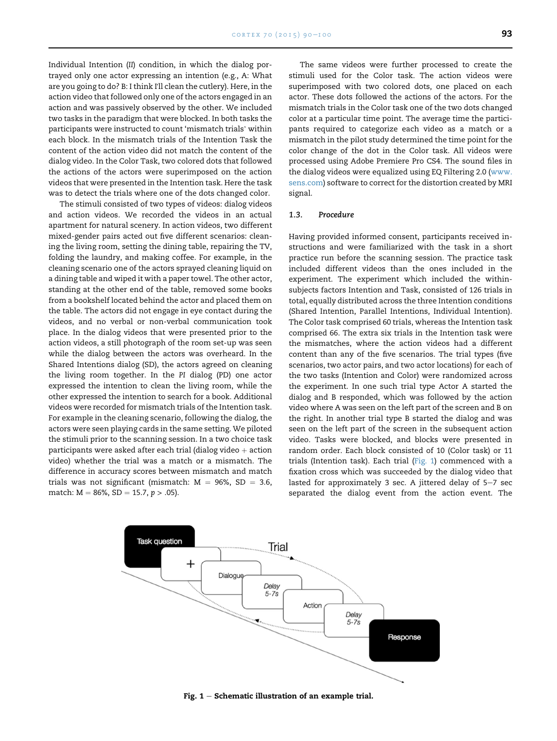Individual Intention (II) condition, in which the dialog portrayed only one actor expressing an intention (e.g., A: What are you going to do? B: I think I'll clean the cutlery). Here, in the action video that followed only one of the actors engaged in an action and was passively observed by the other. We included two tasks in the paradigm that were blocked. In both tasks the participants were instructed to count 'mismatch trials' within each block. In the mismatch trials of the Intention Task the content of the action video did not match the content of the dialog video. In the Color Task, two colored dots that followed the actions of the actors were superimposed on the action videos that were presented in the Intention task. Here the task was to detect the trials where one of the dots changed color.

The stimuli consisted of two types of videos: dialog videos and action videos. We recorded the videos in an actual apartment for natural scenery. In action videos, two different mixed-gender pairs acted out five different scenarios: cleaning the living room, setting the dining table, repairing the TV, folding the laundry, and making coffee. For example, in the cleaning scenario one of the actors sprayed cleaning liquid on a dining table and wiped it with a paper towel. The other actor, standing at the other end of the table, removed some books from a bookshelf located behind the actor and placed them on the table. The actors did not engage in eye contact during the videos, and no verbal or non-verbal communication took place. In the dialog videos that were presented prior to the action videos, a still photograph of the room set-up was seen while the dialog between the actors was overheard. In the Shared Intentions dialog (SD), the actors agreed on cleaning the living room together. In the PI dialog (PD) one actor expressed the intention to clean the living room, while the other expressed the intention to search for a book. Additional videos were recorded for mismatch trials of the Intention task. For example in the cleaning scenario, following the dialog, the actors were seen playing cards in the same setting. We piloted the stimuli prior to the scanning session. In a two choice task participants were asked after each trial (dialog video  $+$  action video) whether the trial was a match or a mismatch. The difference in accuracy scores between mismatch and match trials was not significant (mismatch:  $M = 96\%$ , SD = 3.6, match:  $M = 86\%, SD = 15.7, p > .05$ ).

The same videos were further processed to create the stimuli used for the Color task. The action videos were superimposed with two colored dots, one placed on each actor. These dots followed the actions of the actors. For the mismatch trials in the Color task one of the two dots changed color at a particular time point. The average time the participants required to categorize each video as a match or a mismatch in the pilot study determined the time point for the color change of the dot in the Color task. All videos were processed using Adobe Premiere Pro CS4. The sound files in the dialog videos were equalized using EQ Filtering 2.0 ([www.](http://www.sens.com) [sens.com\)](http://www.sens.com) software to correct for the distortion created by MRI signal.

# 1.3. Procedure

Having provided informed consent, participants received instructions and were familiarized with the task in a short practice run before the scanning session. The practice task included different videos than the ones included in the experiment. The experiment which included the withinsubjects factors Intention and Task, consisted of 126 trials in total, equally distributed across the three Intention conditions (Shared Intention, Parallel Intentions, Individual Intention). The Color task comprised 60 trials, whereas the Intention task comprised 66. The extra six trials in the Intention task were the mismatches, where the action videos had a different content than any of the five scenarios. The trial types (five scenarios, two actor pairs, and two actor locations) for each of the two tasks (Intention and Color) were randomized across the experiment. In one such trial type Actor A started the dialog and B responded, which was followed by the action video where A was seen on the left part of the screen and B on the right. In another trial type B started the dialog and was seen on the left part of the screen in the subsequent action video. Tasks were blocked, and blocks were presented in random order. Each block consisted of 10 (Color task) or 11 trials (Intention task). Each trial (Fig. 1) commenced with a fixation cross which was succeeded by the dialog video that lasted for approximately 3 sec. A jittered delay of  $5-7$  sec separated the dialog event from the action event. The



Fig.  $1$  – Schematic illustration of an example trial.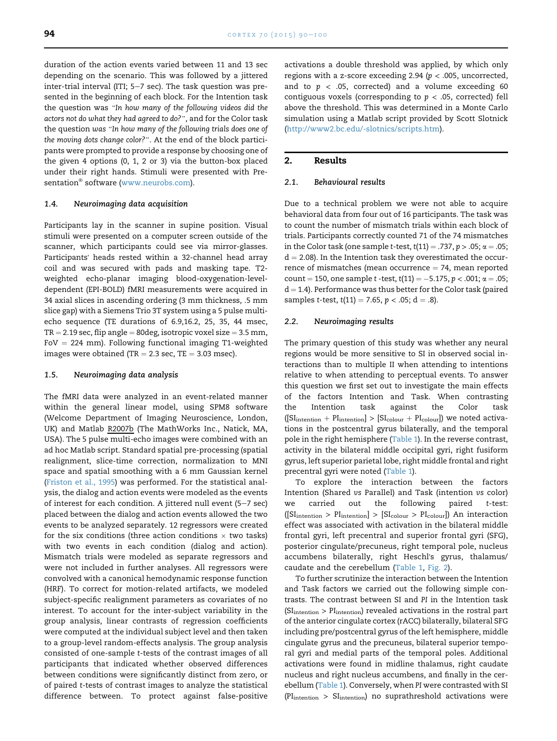duration of the action events varied between 11 and 13 sec depending on the scenario. This was followed by a jittered inter-trial interval (ITI;  $5-7$  sec). The task question was presented in the beginning of each block. For the Intention task the question was "In how many of the following videos did the the question was "In how many of the following videos did the actors not do what they had agreed to do?", and for the Color task actors not do what they had agreed to do?", and for the Color task<br>the question was "In how many of the following trials does one of the question was "In how many of the following trials does one of<br>the moving dots change color?". At the end of the block participants were prompted to provide a response by choosing one of the given 4 options (0, 1, 2 or 3) via the button-box placed under their right hands. Stimuli were presented with Presentation® software ([www.neurobs.com\)](http://www.neurobs.com).

# 1.4. Neuroimaging data acquisition

Participants lay in the scanner in supine position. Visual stimuli were presented on a computer screen outside of the scanner, which participants could see via mirror-glasses. Participants' heads rested within a 32-channel head array coil and was secured with pads and masking tape. T2 weighted echo-planar imaging blood-oxygenation-leveldependent (EPI-BOLD) fMRI measurements were acquired in 34 axial slices in ascending ordering (3 mm thickness, .5 mm slice gap) with a Siemens Trio 3T system using a 5 pulse multiecho sequence (TE durations of 6.9,16.2, 25, 35, 44 msec,  $TR = 2.19$  sec, flip angle  $= 80$ deg, isotropic voxel size  $= 3.5$  mm,  $FoV = 224$  mm). Following functional imaging T1-weighted images were obtained (TR  $= 2.3$  sec, TE  $= 3.03$  msec).

#### 1.5. Neuroimaging data analysis

The fMRI data were analyzed in an event-related manner within the general linear model, using SPM8 software (Welcome Department of Imaging Neuroscience, London, UK) and Matlab R2007b (The MathWorks Inc., Natick, MA, USA). The 5 pulse multi-echo images were combined with an ad hoc Matlab script. Standard spatial pre-processing (spatial realignment, slice-time correction, normalization to MNI space and spatial smoothing with a 6 mm Gaussian kernel ([Friston et al., 1995](#page-9-0)) was performed. For the statistical analysis, the dialog and action events were modeled as the events of interest for each condition. A jittered null event  $(5-7 \text{ sec})$ placed between the dialog and action events allowed the two events to be analyzed separately. 12 regressors were created for the six conditions (three action conditions  $\times$  two tasks) with two events in each condition (dialog and action). Mismatch trials were modeled as separate regressors and were not included in further analyses. All regressors were convolved with a canonical hemodynamic response function (HRF). To correct for motion-related artifacts, we modeled subject-specific realignment parameters as covariates of no interest. To account for the inter-subject variability in the group analysis, linear contrasts of regression coefficients were computed at the individual subject level and then taken to a group-level random-effects analysis. The group analysis consisted of one-sample t-tests of the contrast images of all participants that indicated whether observed differences between conditions were significantly distinct from zero, or of paired t-tests of contrast images to analyze the statistical difference between. To protect against false-positive

activations a double threshold was applied, by which only regions with a z-score exceeding 2.94 ( $p < .005$ , uncorrected, and to  $p < .05$ , corrected) and a volume exceeding 60 contiguous voxels (corresponding to  $p < .05$ , corrected) fell above the threshold. This was determined in a Monte Carlo simulation using a Matlab script provided by Scott Slotnick (<http://www2.bc.edu/-slotnics/scripts.htm>).

# 2. Results

#### 2.1. Behavioural results

Due to a technical problem we were not able to acquire behavioral data from four out of 16 participants. The task was to count the number of mismatch trials within each block of trials. Participants correctly counted 71 of the 74 mismatches in the Color task (one sample t-test,  $t(11) = .737$ ,  $p > .05$ ;  $\alpha = .05$ ;  $d = 2.08$ ). In the Intention task they overestimated the occurrence of mismatches (mean occurrence  $= 74$ , mean reported count = 150, one sample t -test,  $t(11) = -5.175$ ,  $p < .001$ ;  $\alpha = .05$ ;  $d = 1.4$ ). Performance was thus better for the Color task (paired samples t-test,  $t(11) = 7.65$ ,  $p < .05$ ;  $d = .8$ ).

#### 2.2. Neuroimaging results

The primary question of this study was whether any neural regions would be more sensitive to SI in observed social interactions than to multiple II when attending to intentions relative to when attending to perceptual events. To answer this question we first set out to investigate the main effects of the factors Intention and Task. When contrasting the Intention task against the Color task  $\left(\left[SI_\text{intention} + PI_\text{intention}\right] > \left[SI_\text{colour} + PI_\text{colour}\right]\right)$  we noted activations in the postcentral gyrus bilaterally, and the temporal pole in the right hemisphere [\(Table 1\)](#page-5-0). In the reverse contrast, activity in the bilateral middle occipital gyri, right fusiform gyrus, left superior parietal lobe, right middle frontal and right precentral gyri were noted ([Table 1](#page-5-0)).

To explore the interaction between the factors Intention (Shared vs Parallel) and Task (intention vs color) carried out the following paired t-test:  $([SI<sub>intention</sub> > PI<sub>intention</sub>] > [SI<sub>colour</sub> > PI<sub>colour</sub>])$  An interaction effect was associated with activation in the bilateral middle frontal gyri, left precentral and superior frontal gyri (SFG), posterior cingulate/precuneus, right temporal pole, nucleus accumbens bilaterally, right Heschl's gyrus, thalamus/ caudate and the cerebellum ([Table 1](#page-5-0), [Fig. 2\)](#page-6-0).

To further scrutinize the interaction between the Intention and Task factors we carried out the following simple contrasts. The contrast between SI and PI in the Intention task  $(SI<sub>intention</sub> > PI<sub>intention</sub>)$  revealed activations in the rostral part of the anterior cingulate cortex (rACC) bilaterally, bilateral SFG including pre/postcentral gyrus of the left hemisphere, middle cingulate gyrus and the precuneus, bilateral superior temporal gyri and medial parts of the temporal poles. Additional activations were found in midline thalamus, right caudate nucleus and right nucleus accumbens, and finally in the cerebellum ([Table 1](#page-5-0)). Conversely, when PI were contrasted with SI  $(PI_{intention} > SI_{intention})$  no suprathreshold activations were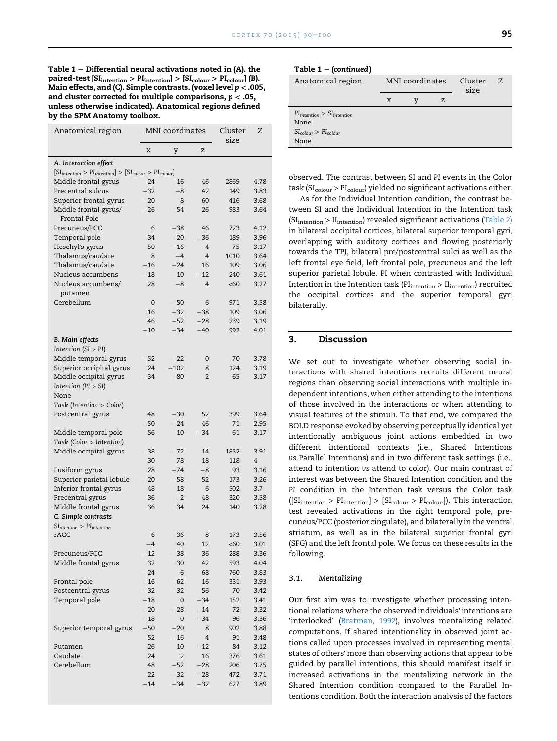<span id="page-5-0"></span>Table  $1$  – Differential neural activations noted in (A). the paired-test  $[SI<sub>intention</sub> > PI<sub>intention</sub>] > [SI<sub>colour</sub> > PI<sub>colour</sub>]$  (B). Main effects, and (C). Simple contrasts. (voxel level  $p < .005$ , and cluster corrected for multiple comparisons,  $p < .05$ , unless otherwise indicated). Anatomical regions defined by the SPM Anatomy toolbox.

| Anatomical region                                                 | MNI coordinates |                |                | Cluster<br>size | Ζ              |  |  |  |
|-------------------------------------------------------------------|-----------------|----------------|----------------|-----------------|----------------|--|--|--|
|                                                                   | X               | у              | Z              |                 |                |  |  |  |
| A. Interaction effect                                             |                 |                |                |                 |                |  |  |  |
| $[SI_{intention} > PI_{intention}] > [SI_{colour} > PI_{colour}]$ |                 |                |                |                 |                |  |  |  |
| Middle frontal gyrus                                              | 24              | 16             | 46             | 2869            | 4.78           |  |  |  |
| Precentral sulcus                                                 | $-32$           | $-8$           | 42             | 149             | 3.83           |  |  |  |
| Superior frontal gyrus                                            | $-20$           | 8              | 60             | 416             | 3.68           |  |  |  |
| Middle frontal gyrus/                                             | $-26$           | 54             | 26             | 983             | 3.64           |  |  |  |
| Frontal Pole                                                      |                 |                |                |                 |                |  |  |  |
| Precuneus/PCC                                                     | 6               | $-38$          | 46             | 723             | 4.12           |  |  |  |
| Temporal pole                                                     | 34              | 20             | $-36$          | 189             | 3.96           |  |  |  |
| Heschyl's gyrus                                                   | 50              | $-16$          | $\overline{4}$ | 75              | 3.17           |  |  |  |
| Thalamus/caudate                                                  | 8               | $-4$           | $\overline{4}$ | 1010            | 3.64           |  |  |  |
| Thalamus/caudate                                                  | $-16$           | $-24$          | 16             | 109             | 3.06           |  |  |  |
| Nucleus accumbens                                                 | $-18$           | 10             | $-12$          | 240             | 3.61           |  |  |  |
| Nucleus accumbens/                                                | 28              | $-8$           | $\overline{4}$ | <60             | 3.27           |  |  |  |
| putamen                                                           |                 |                |                |                 |                |  |  |  |
| Cerebellum                                                        | 0               | $-50$          | 6              | 971             | 3.58           |  |  |  |
|                                                                   | 16              | $-32$          | $-38$          | 109             | 3.06           |  |  |  |
|                                                                   | 46              | $-52$          | $-28$          | 239             | 3.19           |  |  |  |
|                                                                   | $-10$           | $-34$          | $-40$          | 992             | 4.01           |  |  |  |
| <b>B.</b> Main effects                                            |                 |                |                |                 |                |  |  |  |
| Intention $(SI > PI)$                                             |                 |                |                |                 |                |  |  |  |
| Middle temporal gyrus                                             | $-52$           | $-22$          | 0              | 70              | 3.78           |  |  |  |
| Superior occipital gyrus                                          | 24              | $-102$         | 8              | 124             | 3.19           |  |  |  |
| Middle occipital gyrus                                            | -34             | $-80$          | $\overline{2}$ | 65              | 3.17           |  |  |  |
| Intention ( $PI > SI$ )                                           |                 |                |                |                 |                |  |  |  |
| None                                                              |                 |                |                |                 |                |  |  |  |
| Task (Intention $>$ Color)<br>Postcentral gyrus                   | 48              | $-30$          | 52             | 399             | 3.64           |  |  |  |
|                                                                   | $-50$           | $-24$          | 46             | 71              | 2.95           |  |  |  |
| Middle temporal pole                                              | 56              | 10             | -34            | 61              | 3.17           |  |  |  |
| Task (Color > Intention)                                          |                 |                |                |                 |                |  |  |  |
| Middle occipital gyrus                                            | $-38$           | $-72$          | 14             | 1852            | 3.91           |  |  |  |
|                                                                   | 30              | 78             | 18             | 118             | $\overline{4}$ |  |  |  |
| Fusiform gyrus                                                    | 28              | $-74$          | $-8$           | 93              | 3.16           |  |  |  |
| Superior parietal lobule                                          | $-20$           | $-58$          | 52             | 173             | 3.26           |  |  |  |
| Inferior frontal gyrus                                            | 48              | 18             | 6              | 502             | 3.7            |  |  |  |
| Precentral gyrus                                                  | 36              | $-2$           | 48             | 320             | 3.58           |  |  |  |
| Middle frontal gyrus                                              | 36              | 34             | 24             | 140             | 3.28           |  |  |  |
| C. Simple contrasts                                               |                 |                |                |                 |                |  |  |  |
| $SI_{n_{t}} > PI_{intention}$                                     |                 |                |                |                 |                |  |  |  |
| rACC                                                              | 6               | 36             | 8              | 173             | 3.56           |  |  |  |
|                                                                   | $-4$            | 40             | 12             | <60             | 3.01           |  |  |  |
| Precuneus/PCC                                                     | $-12$           | -38            | 36             | 288             | 3.36           |  |  |  |
| Middle frontal gyrus                                              | 32              | 30             | 42             | 593             | 4.04           |  |  |  |
|                                                                   | $-24$           | 6              | 68             | 760             | 3.83           |  |  |  |
| Frontal pole                                                      | $-16$           | 62             | 16             | 331             | 3.93           |  |  |  |
| Postcentral gyrus                                                 | $-32$           | $-32$          | 56             | 70              | 3.42           |  |  |  |
| Temporal pole                                                     | $-18$           | 0              | $-34$          | 152             | 3.41           |  |  |  |
|                                                                   | $-20$           | $-28$          | $-14$          | 72              | 3.32           |  |  |  |
|                                                                   | $-18$           | 0              | $-34$          | 96              | 3.36           |  |  |  |
| Superior temporal gyrus                                           | $-50$           | $-20$          | 8              | 902             | 3.88           |  |  |  |
|                                                                   | 52              | $-16$          | 4              | 91              | 3.48           |  |  |  |
| Putamen                                                           | 26              | 10             | $-12$          | 84              | 3.12           |  |  |  |
| Caudate                                                           | 24              | $\overline{2}$ | 16             | 376             | 3.61           |  |  |  |
| Cerebellum                                                        | 48              | $-52$          | $-28$          | 206             | 3.75           |  |  |  |
|                                                                   | 22              | $-32$          | $^{-28}$       | 472             | 3.71           |  |  |  |
|                                                                   | $-14$           | $-34$          | $-32$          | 627             | 3.89           |  |  |  |

#### Table  $1 - (continued)$

| Anatomical region                                                                                                  | MNI coordinates Cluster |  |   | size | 7. |
|--------------------------------------------------------------------------------------------------------------------|-------------------------|--|---|------|----|
|                                                                                                                    | x                       |  | z |      |    |
| $PI$ <sub>intention</sub> $> SI$ <sub>intention</sub><br>None<br>$SI_{\text{colour}} > PI_{\text{colour}}$<br>None |                         |  |   |      |    |

observed. The contrast between SI and PI events in the Color  $task (SI_{colour} > PI_{colour})$  yielded no significant activations either.

As for the Individual Intention condition, the contrast between SI and the Individual Intention in the Intention task  $(SI<sub>intention</sub> > II<sub>intention</sub>) revealed significant activations (Table 2)$  $(SI<sub>intention</sub> > II<sub>intention</sub>) revealed significant activations (Table 2)$ in bilateral occipital cortices, bilateral superior temporal gyri, overlapping with auditory cortices and flowing posteriorly towards the TPJ, bilateral pre/postcentral sulci as well as the left frontal eye field, left frontal pole, precuneus and the left superior parietal lobule. PI when contrasted with Individual Intention in the Intention task ( $PI<sub>intention</sub> > II<sub>intention</sub>$ ) recruited the occipital cortices and the superior temporal gyri bilaterally.

# 3. Discussion

We set out to investigate whether observing social interactions with shared intentions recruits different neural regions than observing social interactions with multiple independent intentions, when either attending to the intentions of those involved in the interactions or when attending to visual features of the stimuli. To that end, we compared the BOLD response evoked by observing perceptually identical yet intentionally ambiguous joint actions embedded in two different intentional contexts (i.e., Shared Intentions vs Parallel Intentions) and in two different task settings (i.e., attend to intention vs attend to color). Our main contrast of interest was between the Shared Intention condition and the PI condition in the Intention task versus the Color task  $(SI<sub>intention</sub> > PI<sub>intention</sub>] > [SI<sub>colour</sub> > PI<sub>colour</sub>]$ . This interaction test revealed activations in the right temporal pole, precuneus/PCC (posterior cingulate), and bilaterally in the ventral striatum, as well as in the bilateral superior frontal gyri (SFG) and the left frontal pole. We focus on these results in the following.

#### 3.1. Mentalizing

Our first aim was to investigate whether processing intentional relations where the observed individuals' intentions are 'interlocked' ([Bratman, 1992](#page-8-0)), involves mentalizing related computations. If shared intentionality in observed joint actions called upon processes involved in representing mental states of others' more than observing actions that appear to be guided by parallel intentions, this should manifest itself in increased activations in the mentalizing network in the Shared Intention condition compared to the Parallel Intentions condition. Both the interaction analysis of the factors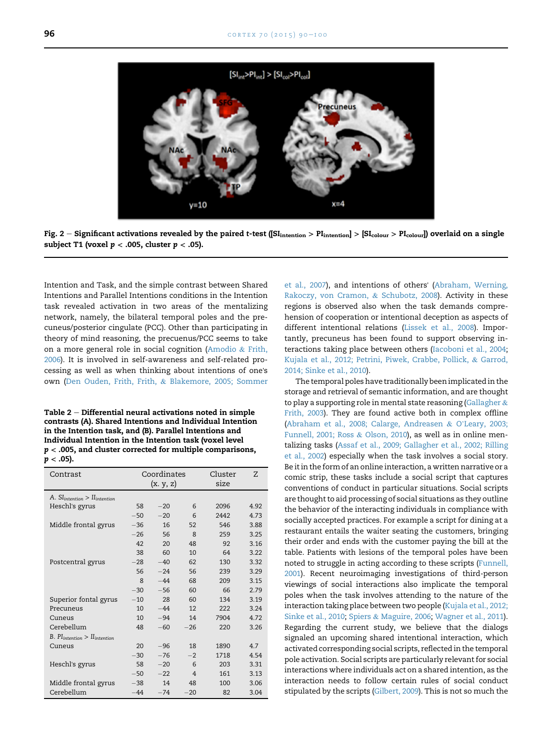<span id="page-6-0"></span>

Fig. 2 – Significant activations revealed by the paired t-test ([SI $_{\rm intention}$  > PI $_{\rm intention}$ ] > [SI $_{\rm colour}$  > PI $_{\rm colour}$ ]) overlaid on a single subject T1 (voxel  $p < .005$ , cluster  $p < .05$ ).

Intention and Task, and the simple contrast between Shared Intentions and Parallel Intentions conditions in the Intention task revealed activation in two areas of the mentalizing network, namely, the bilateral temporal poles and the precuneus/posterior cingulate (PCC). Other than participating in theory of mind reasoning, the precuenus/PCC seems to take on a more general role in social cognition ([Amodio](#page-8-0) & [Frith,](#page-8-0) [2006\)](#page-8-0). It is involved in self-awareness and self-related processing as well as when thinking about intentions of one's own ([Den Ouden, Frith, Frith,](#page-9-0) & [Blakemore, 2005; Sommer](#page-9-0)

Table  $2$  – Differential neural activations noted in simple contrasts (A). Shared Intentions and Individual Intention in the Intention task, and (B). Parallel Intentions and Individual Intention in the Intention task (voxel level  $p < .005$ , and cluster corrected for multiple comparisons,  $p < .05$ ).

| Contrast                                               |       | Coordinates | Cluster        | 7.   |      |
|--------------------------------------------------------|-------|-------------|----------------|------|------|
|                                                        |       | (x, y, z)   | size           |      |      |
| $A. SI$ intention $> II$ intention                     |       |             |                |      |      |
| Heschl's gyrus                                         | 58    | $-20$       | 6              | 2096 | 4.92 |
|                                                        | $-50$ | $-20$       | 6              | 2442 | 4.73 |
| Middle frontal gyrus                                   | $-36$ | 16          | 52             | 546  | 3.88 |
|                                                        | $-26$ | 56          | 8              | 259  | 3.25 |
|                                                        | 42    | 20          | 48             | 92   | 3.16 |
|                                                        | 38    | 60          | 10             | 64   | 3.22 |
| Postcentral gyrus                                      | $-28$ | $-40$       | 62             | 130  | 3.32 |
|                                                        | 56    | $-24$       | 56             | 239  | 3.29 |
|                                                        | 8     | $-44$       | 68             | 209  | 3.15 |
|                                                        | $-30$ | $-56$       | 60             | 66   | 2.79 |
| Superior fontal gyrus                                  | $-10$ | 28          | 60             | 134  | 3.19 |
| Precuneus                                              | 10    | $-44$       | 12             | 222  | 3.24 |
| Cuneus                                                 | 10    | $-94$       | 14             | 7904 | 4.72 |
| Cerebellum                                             | 48    | $-60$       | $-26$          | 220  | 3.26 |
| $B.$ PI <sub>intention</sub> > II <sub>intention</sub> |       |             |                |      |      |
| Cuneus                                                 | 20    | $-96$       | 18             | 1890 | 4.7  |
|                                                        | $-30$ | $-76$       | $-2$           | 1718 | 4.54 |
| Heschl's gyrus                                         | 58    | $-20$       | 6              | 203  | 3.31 |
|                                                        | $-50$ | $-22$       | $\overline{4}$ | 161  | 3.13 |
| Middle frontal gyrus                                   | -38   | 14          | 48             | 100  | 3.06 |
| Cerebellum                                             | $-44$ | $-74$       | $-20$          | 82   | 3.04 |

[et al., 2007\)](#page-9-0), and intentions of others' ([Abraham, Werning,](#page-8-0) [Rakoczy, von Cramon,](#page-8-0) & [Schubotz, 2008](#page-8-0)). Activity in these regions is observed also when the task demands comprehension of cooperation or intentional deception as aspects of different intentional relations [\(Lissek et al., 2008](#page-9-0)). Importantly, precuneus has been found to support observing interactions taking place between others ([Iacoboni et al., 2004](#page-9-0); [Kujala et al., 2012; Petrini, Piwek, Crabbe, Pollick,](#page-9-0) & [Garrod,](#page-9-0) [2014; Sinke et al., 2010\)](#page-9-0).

The temporal poles have traditionally been implicated in the storage and retrieval of semantic information, and are thought to play a supporting role in mental state reasoning ([Gallagher](#page-9-0) & [Frith, 2003](#page-9-0)). They are found active both in complex offline ([Abraham et al., 2008; Calarge, Andreasen](#page-8-0) & <sup>O</sup>'[Leary, 2003;](#page-8-0) [Funnell, 2001; Ross](#page-8-0) & [Olson, 2010](#page-8-0)), as well as in online mentalizing tasks [\(Assaf et al., 2009; Gallagher et al., 2002; Rilling](#page-8-0) [et al., 2002\)](#page-8-0) especially when the task involves a social story. Be it in the form of an online interaction, a written narrative or a comic strip, these tasks include a social script that captures conventions of conduct in particular situations. Social scripts are thought to aid processing of social situations as they outline the behavior of the interacting individuals in compliance with socially accepted practices. For example a script for dining at a restaurant entails the waiter seating the customers, bringing their order and ends with the customer paying the bill at the table. Patients with lesions of the temporal poles have been noted to struggle in acting according to these scripts [\(Funnell,](#page-9-0) [2001\)](#page-9-0). Recent neuroimaging investigations of third-person viewings of social interactions also implicate the temporal poles when the task involves attending to the nature of the interaction taking place between two people ([Kujala et al., 2012;](#page-9-0) [Sinke et al., 2010;](#page-9-0) [Spiers](#page-10-0) & [Maguire, 2006;](#page-10-0) [Wagner et al., 2011\)](#page-10-0). Regarding the current study, we believe that the dialogs signaled an upcoming shared intentional interaction, which activated corresponding social scripts, reflected in the temporal pole activation. Social scripts are particularly relevant for social interactions where individuals act on a shared intention, as the interaction needs to follow certain rules of social conduct stipulated by the scripts [\(Gilbert, 2009\)](#page-9-0). This is not so much the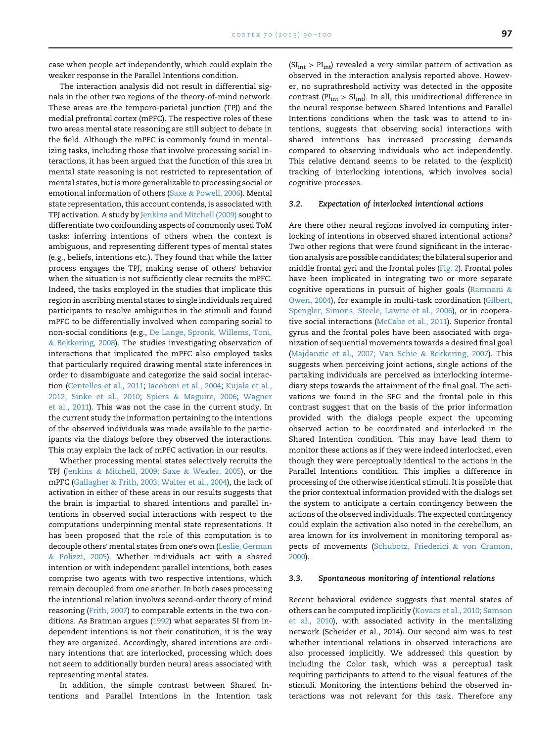case when people act independently, which could explain the weaker response in the Parallel Intentions condition.

The interaction analysis did not result in differential signals in the other two regions of the theory-of-mind network. These areas are the temporo-parietal junction (TPJ) and the medial prefrontal cortex (mPFC). The respective roles of these two areas mental state reasoning are still subject to debate in the field. Although the mPFC is commonly found in mentalizing tasks, including those that involve processing social interactions, it has been argued that the function of this area in mental state reasoning is not restricted to representation of mental states, but is more generalizable to processing social or emotional information of others [\(Saxe](#page-9-0) & [Powell, 2006](#page-9-0)). Mental state representation, this account contends, is associated with TPJ activation. A study by [Jenkins and Mitchell \(2009\)](#page-9-0) sought to differentiate two confounding aspects of commonly used ToM tasks: inferring intentions of others when the context is ambiguous, and representing different types of mental states (e.g., beliefs, intentions etc.). They found that while the latter process engages the TPJ, making sense of others' behavior when the situation is not sufficiently clear recruits the mPFC. Indeed, the tasks employed in the studies that implicate this region in ascribing mental states to single individuals required participants to resolve ambiguities in the stimuli and found mPFC to be differentially involved when comparing social to non-social conditions (e.g., [De Lange, Spronk, Willems, Toni,](#page-8-0) & [Bekkering, 2008](#page-8-0)). The studies investigating observation of interactions that implicated the mPFC also employed tasks that particularly required drawing mental state inferences in order to disambiguate and categorize the said social interaction ([Centelles et al., 2011](#page-8-0); [Iacoboni et al., 2004;](#page-9-0) [Kujala et al.,](#page-9-0) [2012; Sinke et al., 2010;](#page-9-0) [Spiers](#page-10-0) & [Maguire, 2006](#page-10-0); [Wagner](#page-10-0) [et al., 2011](#page-10-0)). This was not the case in the current study. In the current study the information pertaining to the intentions of the observed individuals was made available to the participants via the dialogs before they observed the interactions. This may explain the lack of mPFC activation in our results.

Whether processing mental states selectively recruits the TPJ [\(Jenkins](#page-9-0) & [Mitchell, 2009; Saxe](#page-9-0) & [Wexler, 2005\)](#page-9-0), or the mPFC [\(Gallagher](#page-9-0) & [Frith, 2003; Walter et al., 2004\)](#page-9-0), the lack of activation in either of these areas in our results suggests that the brain is impartial to shared intentions and parallel intentions in observed social interactions with respect to the computations underpinning mental state representations. It has been proposed that the role of this computation is to decouple others' mental states from one's own ([Leslie, German](#page-9-0) & [Polizzi, 2005](#page-9-0)). Whether individuals act with a shared intention or with independent parallel intentions, both cases comprise two agents with two respective intentions, which remain decoupled from one another. In both cases processing the intentional relation involves second-order theory of mind reasoning [\(Frith, 2007](#page-9-0)) to comparable extents in the two conditions. As Bratman argues [\(1992\)](#page-8-0) what separates SI from independent intentions is not their constitution, it is the way they are organized. Accordingly, shared intentions are ordinary intentions that are interlocked, processing which does not seem to additionally burden neural areas associated with representing mental states.

In addition, the simple contrast between Shared Intentions and Parallel Intentions in the Intention task

 $(SI_{int} > PI_{int})$  revealed a very similar pattern of activation as observed in the interaction analysis reported above. However, no suprathreshold activity was detected in the opposite contrast ( $PI_{int} > SI_{int}$ ). In all, this unidirectional difference in the neural response between Shared Intentions and Parallel Intentions conditions when the task was to attend to intentions, suggests that observing social interactions with shared intentions has increased processing demands compared to observing individuals who act independently. This relative demand seems to be related to the (explicit) tracking of interlocking intentions, which involves social cognitive processes.

# 3.2. Expectation of interlocked intentional actions

Are there other neural regions involved in computing interlocking of intentions in observed shared intentional actions? Two other regions that were found significant in the interaction analysis are possible candidates; the bilateral superior and middle frontal gyri and the frontal poles [\(Fig. 2](#page-6-0)). Frontal poles have been implicated in integrating two or more separate cognitive operations in pursuit of higher goals ([Ramnani](#page-9-0) & [Owen, 2004\)](#page-9-0), for example in multi-task coordination ([Gilbert,](#page-9-0) [Spengler, Simons, Steele, Lawrie et al., 2006\)](#page-9-0), or in cooperative social interactions [\(McCabe et al., 2011](#page-9-0)). Superior frontal gyrus and the frontal poles have been associated with organization of sequential movements towards a desired final goal [\(Majdanzic et al., 2007; Van Schie](#page-9-0) & [Bekkering, 2007](#page-9-0)). This suggests when perceiving joint actions, single actions of the partaking individuals are perceived as interlocking intermediary steps towards the attainment of the final goal. The activations we found in the SFG and the frontal pole in this contrast suggest that on the basis of the prior information provided with the dialogs people expect the upcoming observed action to be coordinated and interlocked in the Shared Intention condition. This may have lead them to monitor these actions as if they were indeed interlocked, even though they were perceptually identical to the actions in the Parallel Intentions condition. This implies a difference in processing of the otherwise identical stimuli. It is possible that the prior contextual information provided with the dialogs set the system to anticipate a certain contingency between the actions of the observed individuals. The expected contingency could explain the activation also noted in the cerebellum, an area known for its involvement in monitoring temporal aspects of movements [\(Schubotz, Friederici](#page-10-0) & [von Cramon,](#page-10-0) [2000](#page-10-0)).

# 3.3. Spontaneous monitoring of intentional relations

Recent behavioral evidence suggests that mental states of others can be computed implicitly ([Kovacs et al., 2010; Samson](#page-9-0) [et al., 2010](#page-9-0)), with associated activity in the mentalizing network (Scheider et al., 2014). Our second aim was to test whether intentional relations in observed interactions are also processed implicitly. We addressed this question by including the Color task, which was a perceptual task requiring participants to attend to the visual features of the stimuli. Monitoring the intentions behind the observed interactions was not relevant for this task. Therefore any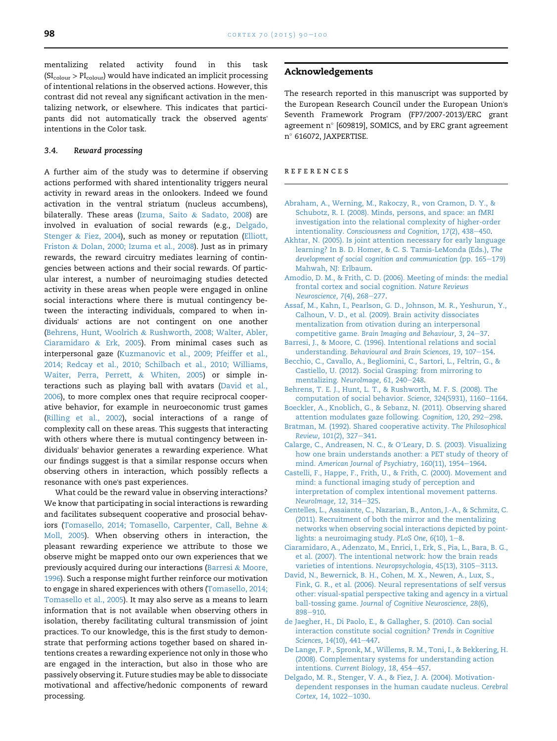<span id="page-8-0"></span>mentalizing related activity found in this task  $(SI_{\text{colour}} > PI_{\text{colour}})$  would have indicated an implicit processing of intentional relations in the observed actions. However, this contrast did not reveal any significant activation in the mentalizing network, or elsewhere. This indicates that participants did not automatically track the observed agents' intentions in the Color task.

#### 3.4. Reward processing

A further aim of the study was to determine if observing actions performed with shared intentionality triggers neural activity in reward areas in the onlookers. Indeed we found activation in the ventral striatum (nucleus accumbens), bilaterally. These areas [\(Izuma, Saito](#page-9-0) & [Sadato, 2008\)](#page-9-0) are involved in evaluation of social rewards (e.g., Delgado, Stenger & Fiez, 2004), such as money or reputation [\(Elliott,](#page-9-0) [Friston](#page-9-0) & [Dolan, 2000; Izuma et al., 2008\)](#page-9-0). Just as in primary rewards, the reward circuitry mediates learning of contingencies between actions and their social rewards. Of particular interest, a number of neuroimaging studies detected activity in these areas when people were engaged in online social interactions where there is mutual contingency between the interacting individuals, compared to when individuals' actions are not contingent on one another (Behrens, Hunt, Woolrich & Rushworth, 2008; Walter, Abler, Ciaramidaro & Erk, 2005). From minimal cases such as interpersonal gaze ([Kuzmanovic et al., 2009; Pfeiffer et al.,](#page-9-0) [2014; Redcay et al., 2010; Schilbach et al., 2010; Williams,](#page-9-0) [Waiter, Perra, Perrett,](#page-9-0) & [Whiten, 2005](#page-9-0)) or simple interactions such as playing ball with avatars (David et al., 2006), to more complex ones that require reciprocal cooperative behavior, for example in neuroeconomic trust games ([Rilling et al., 2002\)](#page-9-0), social interactions of a range of complexity call on these areas. This suggests that interacting with others where there is mutual contingency between individuals' behavior generates a rewarding experience. What our findings suggest is that a similar response occurs when observing others in interaction, which possibly reflects a resonance with one's past experiences.

What could be the reward value in observing interactions? We know that participating in social interactions is rewarding and facilitates subsequent cooperative and prosocial behaviors [\(Tomasello, 2014; Tomasello, Carpenter, Call, Behne](#page-10-0) & [Moll, 2005\)](#page-10-0). When observing others in interaction, the pleasant rewarding experience we attribute to those we observe might be mapped onto our own experiences that we previously acquired during our interactions (Barresi & Moore, 1996). Such a response might further reinforce our motivation to engage in shared experiences with others ([Tomasello, 2014;](#page-10-0) [Tomasello et al., 2005](#page-10-0)). It may also serve as a means to learn information that is not available when observing others in isolation, thereby facilitating cultural transmission of joint practices. To our knowledge, this is the first study to demonstrate that performing actions together based on shared intentions creates a rewarding experience not only in those who are engaged in the interaction, but also in those who are passively observing it. Future studies may be able to dissociate motivational and affective/hedonic components of reward processing.

# Acknowledgements

The research reported in this manuscript was supported by the European Research Council under the European Union's Seventh Framework Program (FP7/2007-2013)/ERC grant agreement  $n^{\circ}$  [609819], SOMICS, and by ERC grant agreement  $n^{\circ}$  616072, JAXPERTISE.

#### references

- [Abraham, A., Werning, M., Rakoczy, R., von Cramon, D. Y., &](http://refhub.elsevier.com/S0010-9452(15)00186-0/sref1) [Schubotz, R. I. \(2008\). Minds, persons, and space: an fMRI](http://refhub.elsevier.com/S0010-9452(15)00186-0/sref1) [investigation into the relational complexity of higher-order](http://refhub.elsevier.com/S0010-9452(15)00186-0/sref1) intentionality. [Consciousness and Cognition, 17](http://refhub.elsevier.com/S0010-9452(15)00186-0/sref1)(2), 438-[450.](http://refhub.elsevier.com/S0010-9452(15)00186-0/sref1)
- [Akhtar, N. \(2005\). Is joint attention necessary for early language](http://refhub.elsevier.com/S0010-9452(15)00186-0/sref2) [learning? In B. D. Homer, & C. S. Tamis-LeMonda \(Eds.\),](http://refhub.elsevier.com/S0010-9452(15)00186-0/sref2) The [development of social cognition and communication](http://refhub.elsevier.com/S0010-9452(15)00186-0/sref2) (pp.  $165-179$ ) [Mahwah, NJ: Erlbaum.](http://refhub.elsevier.com/S0010-9452(15)00186-0/sref2)
- [Amodio, D. M., & Frith, C. D. \(2006\). Meeting of minds: the medial](http://refhub.elsevier.com/S0010-9452(15)00186-0/sref3r) [frontal cortex and social cognition.](http://refhub.elsevier.com/S0010-9452(15)00186-0/sref3r) Nature Reviews [Neuroscience, 7](http://refhub.elsevier.com/S0010-9452(15)00186-0/sref3r)(4), 268-[277](http://refhub.elsevier.com/S0010-9452(15)00186-0/sref3r).
- [Assaf, M., Kahn, I., Pearlson, G. D., Johnson, M. R., Yeshurun, Y.,](http://refhub.elsevier.com/S0010-9452(15)00186-0/sref3) [Calhoun, V. D., et al. \(2009\). Brain activity dissociates](http://refhub.elsevier.com/S0010-9452(15)00186-0/sref3) [mentalization from otivation during an interpersonal](http://refhub.elsevier.com/S0010-9452(15)00186-0/sref3) competitive game. [Brain Imaging and Behaviour, 3](http://refhub.elsevier.com/S0010-9452(15)00186-0/sref3), 24–[37.](http://refhub.elsevier.com/S0010-9452(15)00186-0/sref3)
- [Barresi, J., & Moore, C. \(1996\). Intentional relations and social](http://refhub.elsevier.com/S0010-9452(15)00186-0/sref4) understanding. [Behavioural and Brain Sciences, 19](http://refhub.elsevier.com/S0010-9452(15)00186-0/sref4), 107-[154.](http://refhub.elsevier.com/S0010-9452(15)00186-0/sref4)
- [Becchio, C., Cavallo, A., Begliomini, C., Sartori, L., Feltrin, G., &](http://refhub.elsevier.com/S0010-9452(15)00186-0/sref5) [Castiello, U. \(2012\). Social Grasping: from mirroring to](http://refhub.elsevier.com/S0010-9452(15)00186-0/sref5) mentalizing. [NeuroImage, 61](http://refhub.elsevier.com/S0010-9452(15)00186-0/sref5), 240-[248](http://refhub.elsevier.com/S0010-9452(15)00186-0/sref5).
- [Behrens, T. E. J., Hunt, L. T., & Rushworth, M. F. S. \(2008\). The](http://refhub.elsevier.com/S0010-9452(15)00186-0/sref6) [computation of social behavior.](http://refhub.elsevier.com/S0010-9452(15)00186-0/sref6) Science, 324(5931), 1160-[1164](http://refhub.elsevier.com/S0010-9452(15)00186-0/sref6).
- [Boeckler, A., Knoblich, G., & Sebanz, N. \(2011\). Observing shared](http://refhub.elsevier.com/S0010-9452(15)00186-0/sref7) [attention modulates gaze following.](http://refhub.elsevier.com/S0010-9452(15)00186-0/sref7) Cognition, 120, 292-[298.](http://refhub.elsevier.com/S0010-9452(15)00186-0/sref7)
- [Bratman, M. \(1992\). Shared cooperative activity.](http://refhub.elsevier.com/S0010-9452(15)00186-0/sref8) The Philosophical [Review, 101](http://refhub.elsevier.com/S0010-9452(15)00186-0/sref8)(2), 327-[341.](http://refhub.elsevier.com/S0010-9452(15)00186-0/sref8)
- [Calarge, C., Andreasen, N. C., & O](http://refhub.elsevier.com/S0010-9452(15)00186-0/sref9)'Leary, D. S. (2003). Visualizing [how one brain understands another: a PET study of theory of](http://refhub.elsevier.com/S0010-9452(15)00186-0/sref9) mind. [American Journal of Psychiatry, 160](http://refhub.elsevier.com/S0010-9452(15)00186-0/sref9)(11), 1954-[1964.](http://refhub.elsevier.com/S0010-9452(15)00186-0/sref9)
- [Castelli, F., Happe, F., Frith, U., & Frith, C. \(2000\). Movement and](http://refhub.elsevier.com/S0010-9452(15)00186-0/sref11r) [mind: a functional imaging study of perception and](http://refhub.elsevier.com/S0010-9452(15)00186-0/sref11r) [interpretation of complex intentional movement patterns.](http://refhub.elsevier.com/S0010-9452(15)00186-0/sref11r) [NeuroImage, 12](http://refhub.elsevier.com/S0010-9452(15)00186-0/sref11r), 314-[325.](http://refhub.elsevier.com/S0010-9452(15)00186-0/sref11r)
- [Centelles, L., Assaiante, C., Nazarian, B., Anton, J.-A., & Schmitz, C.](http://refhub.elsevier.com/S0010-9452(15)00186-0/sref11) [\(2011\). Recruitment of both the mirror and the mentalizing](http://refhub.elsevier.com/S0010-9452(15)00186-0/sref11) [networks when observing social interactions depicted by point](http://refhub.elsevier.com/S0010-9452(15)00186-0/sref11)[lights: a neuroimaging study.](http://refhub.elsevier.com/S0010-9452(15)00186-0/sref11) PLoS One,  $6(10)$ ,  $1-8$ .
- [Ciaramidaro, A., Adenzato, M., Enrici, I., Erk, S., Pia, L., Bara, B. G.,](http://refhub.elsevier.com/S0010-9452(15)00186-0/sref12) [et al. \(2007\). The intentional network: how the brain reads](http://refhub.elsevier.com/S0010-9452(15)00186-0/sref12) [varieties of intentions.](http://refhub.elsevier.com/S0010-9452(15)00186-0/sref12) Neuropsychologia, 45(13), 3105-[3113](http://refhub.elsevier.com/S0010-9452(15)00186-0/sref12).
- [David, N., Bewernick, B. H., Cohen, M. X., Newen, A., Lux, S.,](http://refhub.elsevier.com/S0010-9452(15)00186-0/sref14) [Fink, G. R., et al. \(2006\). Neural representations of self versus](http://refhub.elsevier.com/S0010-9452(15)00186-0/sref14) [other: visual-spatial perspective taking and agency in a virtual](http://refhub.elsevier.com/S0010-9452(15)00186-0/sref14) ball-tossing game. [Journal of Cognitive Neuroscience, 28](http://refhub.elsevier.com/S0010-9452(15)00186-0/sref14)(6), [898](http://refhub.elsevier.com/S0010-9452(15)00186-0/sref14)-[910.](http://refhub.elsevier.com/S0010-9452(15)00186-0/sref14)
- [de Jaegher, H., Di Paolo, E., & Gallagher, S. \(2010\). Can social](http://refhub.elsevier.com/S0010-9452(15)00186-0/sref81r) [interaction constitute social cognition?](http://refhub.elsevier.com/S0010-9452(15)00186-0/sref81r) Trends in Cognitive [Sciences, 14](http://refhub.elsevier.com/S0010-9452(15)00186-0/sref81r)(10), 441-[447](http://refhub.elsevier.com/S0010-9452(15)00186-0/sref81r).
- [De Lange, F. P., Spronk, M., Willems, R. M., Toni, I., & Bekkering, H.](http://refhub.elsevier.com/S0010-9452(15)00186-0/sref15) [\(2008\). Complementary systems for understanding action](http://refhub.elsevier.com/S0010-9452(15)00186-0/sref15) intentions. [Current Biology, 18](http://refhub.elsevier.com/S0010-9452(15)00186-0/sref15), 454-[457.](http://refhub.elsevier.com/S0010-9452(15)00186-0/sref15)
- [Delgado, M. R., Stenger, V. A., & Fiez, J. A. \(2004\). Motivation](http://refhub.elsevier.com/S0010-9452(15)00186-0/sref16)[dependent responses in the human caudate nucleus.](http://refhub.elsevier.com/S0010-9452(15)00186-0/sref16) Cerebral [Cortex, 14](http://refhub.elsevier.com/S0010-9452(15)00186-0/sref16), 1022-[1030](http://refhub.elsevier.com/S0010-9452(15)00186-0/sref16).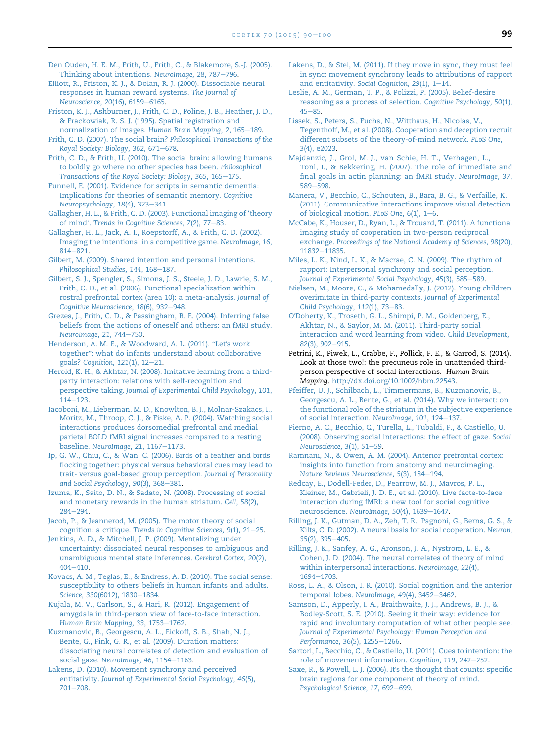<span id="page-9-0"></span>[Den Ouden, H. E. M., Frith, U., Frith, C., & Blakemore, S.-J. \(2005\).](http://refhub.elsevier.com/S0010-9452(15)00186-0/sref17) [Thinking about intentions.](http://refhub.elsevier.com/S0010-9452(15)00186-0/sref17) NeuroImage, 28, 787-[796.](http://refhub.elsevier.com/S0010-9452(15)00186-0/sref17)

[Elliott, R., Friston, K. J., & Dolan, R. J. \(2000\). Dissociable neural](http://refhub.elsevier.com/S0010-9452(15)00186-0/sref18) [responses in human reward systems.](http://refhub.elsevier.com/S0010-9452(15)00186-0/sref18) The Journal of [Neuroscience, 20](http://refhub.elsevier.com/S0010-9452(15)00186-0/sref18)(16), 6159-[6165](http://refhub.elsevier.com/S0010-9452(15)00186-0/sref18).

[Friston, K. J., Ashburner, J., Frith, C. D., Poline, J. B., Heather, J. D.,](http://refhub.elsevier.com/S0010-9452(15)00186-0/sref82t) [& Frackowiak, R. S. J. \(1995\). Spatial registration and](http://refhub.elsevier.com/S0010-9452(15)00186-0/sref82t) [normalization of images.](http://refhub.elsevier.com/S0010-9452(15)00186-0/sref82t) Human Brain Mapping, 2, 165-[189](http://refhub.elsevier.com/S0010-9452(15)00186-0/sref82t).

[Frith, C. D. \(2007\). The social brain?](http://refhub.elsevier.com/S0010-9452(15)00186-0/sref19) Philosophical Transactions of the [Royal Society: Biology, 362](http://refhub.elsevier.com/S0010-9452(15)00186-0/sref19), 671-[678](http://refhub.elsevier.com/S0010-9452(15)00186-0/sref19).

[Frith, C. D., & Frith, U. \(2010\). The social brain: allowing humans](http://refhub.elsevier.com/S0010-9452(15)00186-0/sref20) [to boldly go where no other species has been.](http://refhub.elsevier.com/S0010-9452(15)00186-0/sref20) Philosophical [Transactions of the Royal Society: Biology, 365](http://refhub.elsevier.com/S0010-9452(15)00186-0/sref20), 165-[175](http://refhub.elsevier.com/S0010-9452(15)00186-0/sref20).

[Funnell, E. \(2001\). Evidence for scripts in semantic dementia:](http://refhub.elsevier.com/S0010-9452(15)00186-0/sref21) [Implications for theories of semantic memory.](http://refhub.elsevier.com/S0010-9452(15)00186-0/sref21) Cognitive [Neuropsychology, 18](http://refhub.elsevier.com/S0010-9452(15)00186-0/sref21)(4), 323-[341.](http://refhub.elsevier.com/S0010-9452(15)00186-0/sref21)

[Gallagher, H. L., & Frith, C. D. \(2003\). Functional imaging of 'theory](http://refhub.elsevier.com/S0010-9452(15)00186-0/sref22) of mind'. [Trends in Cognitive Sciences, 7](http://refhub.elsevier.com/S0010-9452(15)00186-0/sref22)(2), 77e[83.](http://refhub.elsevier.com/S0010-9452(15)00186-0/sref22)

[Gallagher, H. L., Jack, A. I., Roepstorff, A., & Frith, C. D. \(2002\).](http://refhub.elsevier.com/S0010-9452(15)00186-0/sref23) [Imaging the intentional in a competitive game.](http://refhub.elsevier.com/S0010-9452(15)00186-0/sref23) NeuroImage, 16, [814](http://refhub.elsevier.com/S0010-9452(15)00186-0/sref23)-[821](http://refhub.elsevier.com/S0010-9452(15)00186-0/sref23).

[Gilbert, M. \(2009\). Shared intention and personal intentions.](http://refhub.elsevier.com/S0010-9452(15)00186-0/sref24) [Philosophical Studies, 144](http://refhub.elsevier.com/S0010-9452(15)00186-0/sref24), 168-[187](http://refhub.elsevier.com/S0010-9452(15)00186-0/sref24).

[Gilbert, S. J., Spengler, S., Simons, J. S., Steele, J. D., Lawrie, S. M.,](http://refhub.elsevier.com/S0010-9452(15)00186-0/sref25) [Frith, C. D., et al. \(2006\). Functional specialization within](http://refhub.elsevier.com/S0010-9452(15)00186-0/sref25) [rostral prefrontal cortex \(area 10\): a meta-analysis.](http://refhub.elsevier.com/S0010-9452(15)00186-0/sref25) Journal of [Cognitive Neuroscience, 18](http://refhub.elsevier.com/S0010-9452(15)00186-0/sref25)(6), 932-[948.](http://refhub.elsevier.com/S0010-9452(15)00186-0/sref25)

[Grezes, J., Frith, C. D., & Passingham, R. E. \(2004\). Inferring false](http://refhub.elsevier.com/S0010-9452(15)00186-0/sref26) [beliefs from the actions of oneself and others: an fMRI study.](http://refhub.elsevier.com/S0010-9452(15)00186-0/sref26) [NeuroImage, 21](http://refhub.elsevier.com/S0010-9452(15)00186-0/sref26), 744-[750.](http://refhub.elsevier.com/S0010-9452(15)00186-0/sref26)

[Henderson, A. M. E., & Woodward, A. L. \(2011\).](http://refhub.elsevier.com/S0010-9452(15)00186-0/sref27) "Let's work together"[: what do infants understand about collaborative](http://refhub.elsevier.com/S0010-9452(15)00186-0/sref27) goals? [Cognition, 121](http://refhub.elsevier.com/S0010-9452(15)00186-0/sref27)(1), 12-[21](http://refhub.elsevier.com/S0010-9452(15)00186-0/sref27).

[Herold, K. H., & Akhtar, N. \(2008\). Imitative learning from a third](http://refhub.elsevier.com/S0010-9452(15)00186-0/sref28)[party interaction: relations with self-recognition and](http://refhub.elsevier.com/S0010-9452(15)00186-0/sref28) perspective taking. [Journal of Experimental Child Psychology, 101](http://refhub.elsevier.com/S0010-9452(15)00186-0/sref28),  $114 - 123.$  $114 - 123.$  $114 - 123.$  $114 - 123.$ 

[Iacoboni, M., Lieberman, M. D., Knowlton, B. J., Molnar-Szakacs, I.,](http://refhub.elsevier.com/S0010-9452(15)00186-0/sref83r) [Moritz, M., Throop, C. J., & Fiske, A. P. \(2004\). Watching social](http://refhub.elsevier.com/S0010-9452(15)00186-0/sref83r) [interactions produces dorsomedial prefrontal and medial](http://refhub.elsevier.com/S0010-9452(15)00186-0/sref83r) [parietal BOLD fMRI signal increases compared to a resting](http://refhub.elsevier.com/S0010-9452(15)00186-0/sref83r) baseline. [NeuroImage, 21](http://refhub.elsevier.com/S0010-9452(15)00186-0/sref83r), 1167-[1173.](http://refhub.elsevier.com/S0010-9452(15)00186-0/sref83r)

[Ip, G. W., Chiu, C., & Wan, C. \(2006\). Birds of a feather and birds](http://refhub.elsevier.com/S0010-9452(15)00186-0/sref29) [flocking together: physical versus behavioral cues may lead to](http://refhub.elsevier.com/S0010-9452(15)00186-0/sref29) [trait- versus goal-based group perception.](http://refhub.elsevier.com/S0010-9452(15)00186-0/sref29) Journal of Personality [and Social Psychology, 90](http://refhub.elsevier.com/S0010-9452(15)00186-0/sref29)(3), 368-[381](http://refhub.elsevier.com/S0010-9452(15)00186-0/sref29).

[Izuma, K., Saito, D. N., & Sadato, N. \(2008\). Processing of social](http://refhub.elsevier.com/S0010-9452(15)00186-0/sref30) [and monetary rewards in the human striatum.](http://refhub.elsevier.com/S0010-9452(15)00186-0/sref30) Cell, 58(2),  $284 - 294.$  $284 - 294.$  $284 - 294.$  $284 - 294.$ 

[Jacob, P., & Jeannerod, M. \(2005\). The motor theory of social](http://refhub.elsevier.com/S0010-9452(15)00186-0/sref32r) cognition: a critique. [Trends in Cognitive Sciences, 9](http://refhub.elsevier.com/S0010-9452(15)00186-0/sref32r)(1), 21-[25](http://refhub.elsevier.com/S0010-9452(15)00186-0/sref32r).

[Jenkins, A. D., & Mitchell, J. P. \(2009\). Mentalizing under](http://refhub.elsevier.com/S0010-9452(15)00186-0/sref32) [uncertainty: dissociated neural responses to ambiguous and](http://refhub.elsevier.com/S0010-9452(15)00186-0/sref32) [unambiguous mental state inferences.](http://refhub.elsevier.com/S0010-9452(15)00186-0/sref32) Cerebral Cortex, 20(2),  $404 - 410$  $404 - 410$  $404 - 410$ .

[Kovacs, A. M., Teglas, E., & Endress, A. D. \(2010\). The social sense:](http://refhub.elsevier.com/S0010-9452(15)00186-0/sref33) susceptibility to others' [beliefs in human infants and adults.](http://refhub.elsevier.com/S0010-9452(15)00186-0/sref33) Science, 330[\(6012\), 1830](http://refhub.elsevier.com/S0010-9452(15)00186-0/sref33)-[1834](http://refhub.elsevier.com/S0010-9452(15)00186-0/sref33).

[Kujala, M. V., Carlson, S., & Hari, R. \(2012\). Engagement of](http://refhub.elsevier.com/S0010-9452(15)00186-0/sref34) [amygdala in third-person view of face-to-face interaction.](http://refhub.elsevier.com/S0010-9452(15)00186-0/sref34) [Human Brain Mapping, 33](http://refhub.elsevier.com/S0010-9452(15)00186-0/sref34), 1753-[1762](http://refhub.elsevier.com/S0010-9452(15)00186-0/sref34).

[Kuzmanovic, B., Georgescu, A. L., Eickoff, S. B., Shah, N. J.,](http://refhub.elsevier.com/S0010-9452(15)00186-0/sref35) [Bente, G., Fink, G. R., et al. \(2009\). Duration matters:](http://refhub.elsevier.com/S0010-9452(15)00186-0/sref35) [dissociating neural correlates of detection and evaluation of](http://refhub.elsevier.com/S0010-9452(15)00186-0/sref35) social gaze. [NeuroImage, 46](http://refhub.elsevier.com/S0010-9452(15)00186-0/sref35), 1154-[1163](http://refhub.elsevier.com/S0010-9452(15)00186-0/sref35).

[Lakens, D. \(2010\). Movement synchrony and perceived](http://refhub.elsevier.com/S0010-9452(15)00186-0/sref36) entitativity. [Journal of Experimental Social Psychology, 46](http://refhub.elsevier.com/S0010-9452(15)00186-0/sref36)(5),  $701 - 708.$  $701 - 708.$  $701 - 708.$  $701 - 708.$ 

[Lakens, D., & Stel, M. \(2011\). If they move in sync, they must feel](http://refhub.elsevier.com/S0010-9452(15)00186-0/sref37) [in sync: movement synchrony leads to attributions of rapport](http://refhub.elsevier.com/S0010-9452(15)00186-0/sref37) and entitativity. Social Cognition,  $29(1)$ ,  $1-14$  $1-14$ .

[Leslie, A. M., German, T. P., & Polizzi, P. \(2005\). Belief-desire](http://refhub.elsevier.com/S0010-9452(15)00186-0/sref38) [reasoning as a process of selection.](http://refhub.elsevier.com/S0010-9452(15)00186-0/sref38) Cognitive Psychology, 50(1),  $45 - 85$  $45 - 85$ 

[Lissek, S., Peters, S., Fuchs, N., Witthaus, H., Nicolas, V.,](http://refhub.elsevier.com/S0010-9452(15)00186-0/sref39) [Tegenthoff, M., et al. \(2008\). Cooperation and deception recruit](http://refhub.elsevier.com/S0010-9452(15)00186-0/sref39) [different subsets of the theory-of-mind network.](http://refhub.elsevier.com/S0010-9452(15)00186-0/sref39) PLoS One, 3[\(4\), e2023](http://refhub.elsevier.com/S0010-9452(15)00186-0/sref39).

[Majdanzic, J., Grol, M. J., van Schie, H. T., Verhagen, L.,](http://refhub.elsevier.com/S0010-9452(15)00186-0/sref40) [Toni, I., & Bekkering, H. \(2007\). The role of immediate and](http://refhub.elsevier.com/S0010-9452(15)00186-0/sref40) [final goals in actin planning: an fMRI study.](http://refhub.elsevier.com/S0010-9452(15)00186-0/sref40) NeuroImage, 37, [589](http://refhub.elsevier.com/S0010-9452(15)00186-0/sref40)-[598.](http://refhub.elsevier.com/S0010-9452(15)00186-0/sref40)

[Manera, V., Becchio, C., Schouten, B., Bara, B. G., & Verfaille, K.](http://refhub.elsevier.com/S0010-9452(15)00186-0/sref41) [\(2011\). Communicative interactions improve visual detection](http://refhub.elsevier.com/S0010-9452(15)00186-0/sref41) [of biological motion.](http://refhub.elsevier.com/S0010-9452(15)00186-0/sref41) PLoS One,  $6(1)$ ,  $1-6$ .

[McCabe, K., Houser, D., Ryan, L., & Trouard, T. \(2011\). A functional](http://refhub.elsevier.com/S0010-9452(15)00186-0/sref44) [imaging study of cooperation in two-person reciprocal](http://refhub.elsevier.com/S0010-9452(15)00186-0/sref44) exchange. [Proceedings of the National Academy of Sciences, 98](http://refhub.elsevier.com/S0010-9452(15)00186-0/sref44)(20), [11832](http://refhub.elsevier.com/S0010-9452(15)00186-0/sref44)-[11835.](http://refhub.elsevier.com/S0010-9452(15)00186-0/sref44)

[Miles, L. K., Nind, L. K., & Macrae, C. N. \(2009\). The rhythm of](http://refhub.elsevier.com/S0010-9452(15)00186-0/sref45) [rapport: Interpersonal synchrony and social perception.](http://refhub.elsevier.com/S0010-9452(15)00186-0/sref45) [Journal of Experimental Social Psychology, 45](http://refhub.elsevier.com/S0010-9452(15)00186-0/sref45)(3), 585-[589](http://refhub.elsevier.com/S0010-9452(15)00186-0/sref45).

[Nielsen, M., Moore, C., & Mohamedally, J. \(2012\). Young children](http://refhub.elsevier.com/S0010-9452(15)00186-0/sref47) [overimitate in third-party contexts.](http://refhub.elsevier.com/S0010-9452(15)00186-0/sref47) Journal of Experimental [Child Psychology, 112](http://refhub.elsevier.com/S0010-9452(15)00186-0/sref47)(1), 73-[83](http://refhub.elsevier.com/S0010-9452(15)00186-0/sref47).

O'[Doherty, K., Troseth, G. L., Shimpi, P. M., Goldenberg, E.,](http://refhub.elsevier.com/S0010-9452(15)00186-0/sref49) [Akhtar, N., & Saylor, M. M. \(2011\). Third-party social](http://refhub.elsevier.com/S0010-9452(15)00186-0/sref49) [interaction and word learning from video.](http://refhub.elsevier.com/S0010-9452(15)00186-0/sref49) Child Development, 82[\(3\), 902](http://refhub.elsevier.com/S0010-9452(15)00186-0/sref49)-[915.](http://refhub.elsevier.com/S0010-9452(15)00186-0/sref49)

Petrini, K., Piwek, L., Crabbe, F., Pollick, F. E., & Garrod, S. (2014). Look at those two!: the precuneus role in unattended thirdperson perspective of social interactions. Human Brain Mapping. [http://dx.doi.org/10.1002/hbm.22543.](http://dx.doi.org/10.1002/hbm.22543)

[Pfeiffer, U. J., Schilbach, L., Timmermans, B., Kuzmanovic, B.,](http://refhub.elsevier.com/S0010-9452(15)00186-0/sref51) [Georgescu, A. L., Bente, G., et al. \(2014\). Why we interact: on](http://refhub.elsevier.com/S0010-9452(15)00186-0/sref51) [the functional role of the striatum in the subjective experience](http://refhub.elsevier.com/S0010-9452(15)00186-0/sref51) [of social interaction.](http://refhub.elsevier.com/S0010-9452(15)00186-0/sref51) NeuroImage, 101, 124-[137.](http://refhub.elsevier.com/S0010-9452(15)00186-0/sref51)

[Pierno, A. C., Becchio, C., Turella, L., Tubaldi, F., & Castiello, U.](http://refhub.elsevier.com/S0010-9452(15)00186-0/sref52) [\(2008\). Observing social interactions: the effect of gaze.](http://refhub.elsevier.com/S0010-9452(15)00186-0/sref52) Social [Neuroscience, 3](http://refhub.elsevier.com/S0010-9452(15)00186-0/sref52)(1), 51-[59.](http://refhub.elsevier.com/S0010-9452(15)00186-0/sref52)

[Ramnani, N., & Owen, A. M. \(2004\). Anterior prefrontal cortex:](http://refhub.elsevier.com/S0010-9452(15)00186-0/sref53) [insights into function from anatomy and neuroimaging.](http://refhub.elsevier.com/S0010-9452(15)00186-0/sref53) [Nature Reviews Neuroscience, 5](http://refhub.elsevier.com/S0010-9452(15)00186-0/sref53)(3), 184-[194](http://refhub.elsevier.com/S0010-9452(15)00186-0/sref53).

[Redcay, E., Dodell-Feder, D., Pearrow, M. J., Mavros, P. L.,](http://refhub.elsevier.com/S0010-9452(15)00186-0/sref54) [Kleiner, M., Gabrieli, J. D. E., et al. \(2010\). Live facte-to-face](http://refhub.elsevier.com/S0010-9452(15)00186-0/sref54) [interaction during fMRI: a new tool for social cognitive](http://refhub.elsevier.com/S0010-9452(15)00186-0/sref54) neuroscience. [NeuroImage, 50](http://refhub.elsevier.com/S0010-9452(15)00186-0/sref54)(4), 1639-[1647.](http://refhub.elsevier.com/S0010-9452(15)00186-0/sref54)

[Rilling, J. K., Gutman, D. A., Zeh, T. R., Pagnoni, G., Berns, G. S., &](http://refhub.elsevier.com/S0010-9452(15)00186-0/sref55) [Kilts, C. D. \(2002\). A neural basis for social cooperation.](http://refhub.elsevier.com/S0010-9452(15)00186-0/sref55) Neuron, 35[\(2\), 395](http://refhub.elsevier.com/S0010-9452(15)00186-0/sref55)-[405.](http://refhub.elsevier.com/S0010-9452(15)00186-0/sref55)

[Rilling, J. K., Sanfey, A. G., Aronson, J. A., Nystrom, L. E., &](http://refhub.elsevier.com/S0010-9452(15)00186-0/sref56) [Cohen, J. D. \(2004\). The neural correlates of theory of mind](http://refhub.elsevier.com/S0010-9452(15)00186-0/sref56) [within interpersonal interactions.](http://refhub.elsevier.com/S0010-9452(15)00186-0/sref56) NeuroImage, 22(4), [1694](http://refhub.elsevier.com/S0010-9452(15)00186-0/sref56)-[1703](http://refhub.elsevier.com/S0010-9452(15)00186-0/sref56)

[Ross, L. A., & Olson, I. R. \(2010\). Social cognition and the anterior](http://refhub.elsevier.com/S0010-9452(15)00186-0/sref57) [temporal lobes.](http://refhub.elsevier.com/S0010-9452(15)00186-0/sref57) NeuroImage, 49(4), 3452-[3462](http://refhub.elsevier.com/S0010-9452(15)00186-0/sref57).

[Samson, D., Apperly, I. A., Braithwaite, J. J., Andrews, B. J., &](http://refhub.elsevier.com/S0010-9452(15)00186-0/sref58) [Bodley-Scott, S. E. \(2010\). Seeing it their way: evidence for](http://refhub.elsevier.com/S0010-9452(15)00186-0/sref58) [rapid and involuntary computation of what other people see.](http://refhub.elsevier.com/S0010-9452(15)00186-0/sref58) [Journal of Experimental Psychology: Human Perception and](http://refhub.elsevier.com/S0010-9452(15)00186-0/sref58) [Performance, 36](http://refhub.elsevier.com/S0010-9452(15)00186-0/sref58)(5), 1255-[1266](http://refhub.elsevier.com/S0010-9452(15)00186-0/sref58).

[Sartori, L., Becchio, C., & Castiello, U. \(2011\). Cues to intention: the](http://refhub.elsevier.com/S0010-9452(15)00186-0/sref59) [role of movement information.](http://refhub.elsevier.com/S0010-9452(15)00186-0/sref59) Cognition, 119, 242-[252](http://refhub.elsevier.com/S0010-9452(15)00186-0/sref59).

Saxe, R., & Powell, L. J. (2006). It'[s the thought that counts: specific](http://refhub.elsevier.com/S0010-9452(15)00186-0/sref61) [brain regions for one component of theory of mind.](http://refhub.elsevier.com/S0010-9452(15)00186-0/sref61) [Psychological Science, 17](http://refhub.elsevier.com/S0010-9452(15)00186-0/sref61), 692-[699](http://refhub.elsevier.com/S0010-9452(15)00186-0/sref61).